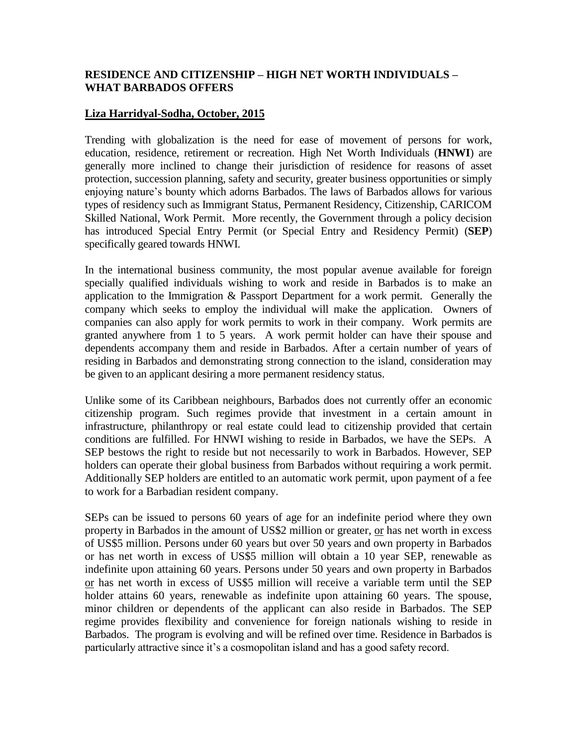## **RESIDENCE AND CITIZENSHIP – HIGH NET WORTH INDIVIDUALS – WHAT BARBADOS OFFERS**

## **Liza Harridyal-Sodha, October, 2015**

Trending with globalization is the need for ease of movement of persons for work, education, residence, retirement or recreation. High Net Worth Individuals (**HNWI**) are generally more inclined to change their jurisdiction of residence for reasons of asset protection, succession planning, safety and security, greater business opportunities or simply enjoying nature's bounty which adorns Barbados. The laws of Barbados allows for various types of residency such as Immigrant Status, Permanent Residency, Citizenship, CARICOM Skilled National, Work Permit. More recently, the Government through a policy decision has introduced Special Entry Permit (or Special Entry and Residency Permit) (**SEP**) specifically geared towards HNWI.

In the international business community, the most popular avenue available for foreign specially qualified individuals wishing to work and reside in Barbados is to make an application to the Immigration & Passport Department for a work permit. Generally the company which seeks to employ the individual will make the application. Owners of companies can also apply for work permits to work in their company. Work permits are granted anywhere from 1 to 5 years. A work permit holder can have their spouse and dependents accompany them and reside in Barbados. After a certain number of years of residing in Barbados and demonstrating strong connection to the island, consideration may be given to an applicant desiring a more permanent residency status.

Unlike some of its Caribbean neighbours, Barbados does not currently offer an economic citizenship program. Such regimes provide that investment in a certain amount in infrastructure, philanthropy or real estate could lead to citizenship provided that certain conditions are fulfilled. For HNWI wishing to reside in Barbados, we have the SEPs. A SEP bestows the right to reside but not necessarily to work in Barbados. However, SEP holders can operate their global business from Barbados without requiring a work permit. Additionally SEP holders are entitled to an automatic work permit, upon payment of a fee to work for a Barbadian resident company.

SEPs can be issued to persons 60 years of age for an indefinite period where they own property in Barbados in the amount of US\$2 million or greater, or has net worth in excess of US\$5 million. Persons under 60 years but over 50 years and own property in Barbados or has net worth in excess of US\$5 million will obtain a 10 year SEP, renewable as indefinite upon attaining 60 years. Persons under 50 years and own property in Barbados or has net worth in excess of US\$5 million will receive a variable term until the SEP holder attains 60 years, renewable as indefinite upon attaining 60 years. The spouse, minor children or dependents of the applicant can also reside in Barbados. The SEP regime provides flexibility and convenience for foreign nationals wishing to reside in Barbados. The program is evolving and will be refined over time. Residence in Barbados is particularly attractive since it's a cosmopolitan island and has a good safety record.